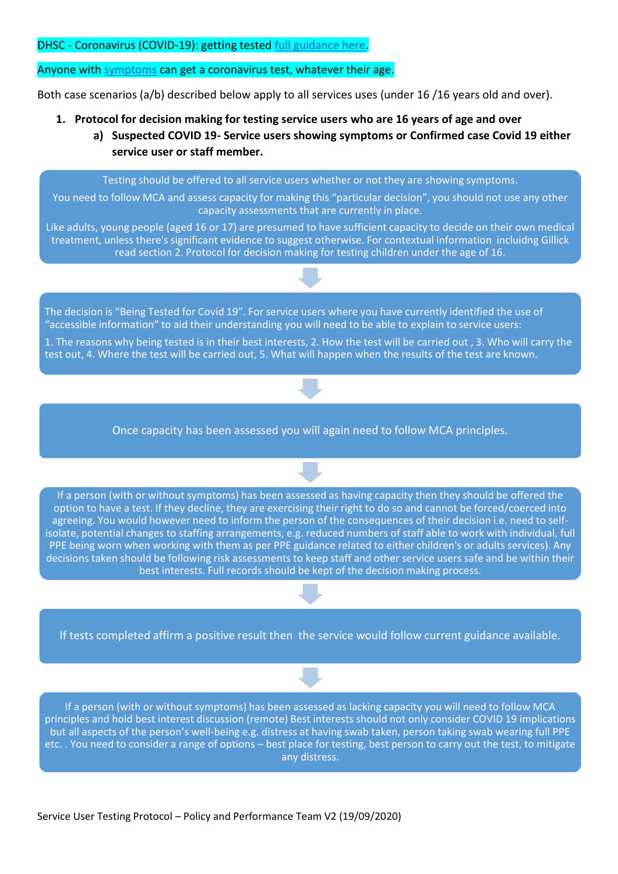DHSC - Coronavirus (COVID-19): getting tested [full guidance here.](https://www.gov.uk/guidance/coronavirus-covid-19-getting-tested)

## Anyone with **symptoms** can get a coronavirus test, whatever their age.

Both case scenarios (a/b) described below apply to all services uses (under 16 /16 years old and over).

- **1. Protocol for decision making for testing service users who are 16 years of age and over**
	- **a) Suspected COVID 19- Service users showing symptoms or Confirmed case Covid 19 either service user or staff member.**

Testing should be offered to all service users whether or not they are showing symptoms.

You need to follow MCA and assess capacity for making this "particular decision", you should not use any other capacity assessments that are currently in place.

Like adults, young people (aged 16 or 17) are presumed to have sufficient capacity to decide on their own medical treatment, unless there's significant evidence to suggest otherwise. For contextual information incluidng Gillick read section 2. Protocol for decision making for testing children under the age of 16.

The decision is "Being Tested for Covid 19". For service users where you have currently identified the use of "accessible information" to aid their understanding you will need to be able to explain to service users:

1. The reasons why being tested is in their best interests, 2. How the test will be carried out , 3. Who will carry the test out, 4. Where the test will be carried out, 5. What will happen when the results of the test are known.



Once capacity has been assessed you will again need to follow MCA principles.

If a person (with or without symptoms) has been assessed as having capacity then they should be offered the option to have a test. If they decline, they are exercising their right to do so and cannot be forced/coerced into agreeing. You would however need to inform the person of the consequences of their decision i.e. need to selfisolate, potential changes to staffing arrangements, e.g. reduced numbers of staff able to work with individual, full PPE being worn when working with them as per PPE guidance related to either children's or adults services). Any decisions taken should be following risk assessments to keep staff and other service users safe and be within their best interests. Full records should be kept of the decision making process.

If tests completed affirm a positive result then the service would follow current guidance available.

If a person (with or without symptoms) has been assessed as lacking capacity you will need to follow MCA principles and hold best interest discussion (remote) Best interests should not only consider COVID 19 implications but all aspects of the person's well-being e.g. distress at having swab taken, person taking swab wearing full PPE etc. . You need to consider a range of options – best place for testing, best person to carry out the test, to mitigate any distress.

Service User Testing Protocol – Policy and Performance Team V2 (19/09/2020)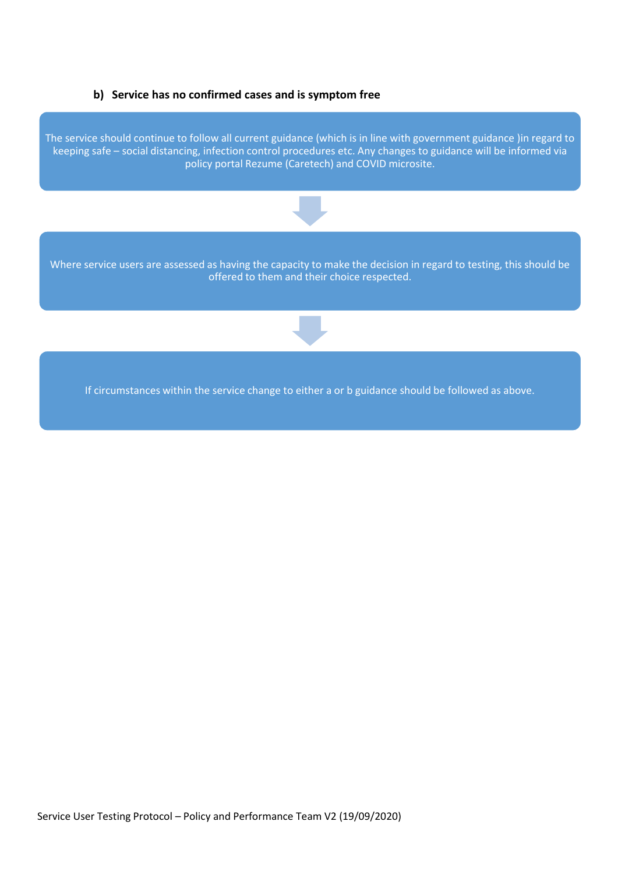## **b) Service has no confirmed cases and is symptom free**